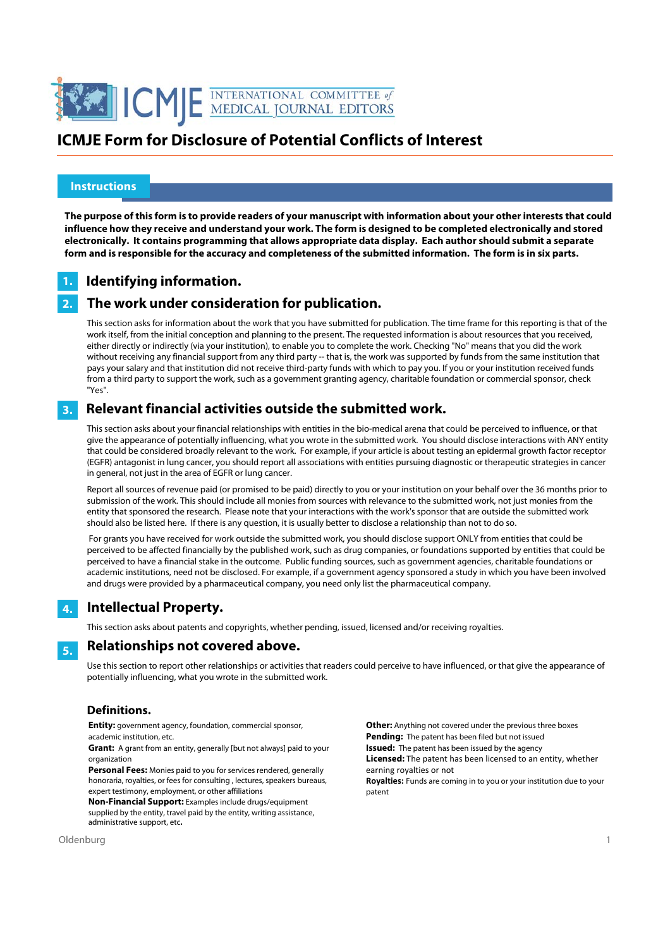

#### **Instructions**

**2.**

**The purpose of this form is to provide readers of your manuscript with information about your other interests that could influence how they receive and understand your work. The form is designed to be completed electronically and stored electronically. It contains programming that allows appropriate data display. Each author should submit a separate form and is responsible for the accuracy and completeness of the submitted information. The form is in six parts.** 

#### **Identifying information. 1.**

### **The work under consideration for publication.**

This section asks for information about the work that you have submitted for publication. The time frame for this reporting is that of the work itself, from the initial conception and planning to the present. The requested information is about resources that you received, either directly or indirectly (via your institution), to enable you to complete the work. Checking "No" means that you did the work without receiving any financial support from any third party -- that is, the work was supported by funds from the same institution that pays your salary and that institution did not receive third-party funds with which to pay you. If you or your institution received funds from a third party to support the work, such as a government granting agency, charitable foundation or commercial sponsor, check "Yes".

#### **Relevant financial activities outside the submitted work. 3.**

This section asks about your financial relationships with entities in the bio-medical arena that could be perceived to influence, or that give the appearance of potentially influencing, what you wrote in the submitted work. You should disclose interactions with ANY entity that could be considered broadly relevant to the work. For example, if your article is about testing an epidermal growth factor receptor (EGFR) antagonist in lung cancer, you should report all associations with entities pursuing diagnostic or therapeutic strategies in cancer in general, not just in the area of EGFR or lung cancer.

Report all sources of revenue paid (or promised to be paid) directly to you or your institution on your behalf over the 36 months prior to submission of the work. This should include all monies from sources with relevance to the submitted work, not just monies from the entity that sponsored the research. Please note that your interactions with the work's sponsor that are outside the submitted work should also be listed here. If there is any question, it is usually better to disclose a relationship than not to do so.

 For grants you have received for work outside the submitted work, you should disclose support ONLY from entities that could be perceived to be affected financially by the published work, such as drug companies, or foundations supported by entities that could be perceived to have a financial stake in the outcome. Public funding sources, such as government agencies, charitable foundations or academic institutions, need not be disclosed. For example, if a government agency sponsored a study in which you have been involved and drugs were provided by a pharmaceutical company, you need only list the pharmaceutical company.

### **Intellectual Property.**

This section asks about patents and copyrights, whether pending, issued, licensed and/or receiving royalties.

#### **Relationships not covered above.**

Use this section to report other relationships or activities that readers could perceive to have influenced, or that give the appearance of potentially influencing, what you wrote in the submitted work.

#### **Definitions.**

**Entity:** government agency, foundation, commercial sponsor, academic institution, etc.

**Grant:** A grant from an entity, generally [but not always] paid to your organization

**Personal Fees:** Monies paid to you for services rendered, generally honoraria, royalties, or fees for consulting , lectures, speakers bureaus, expert testimony, employment, or other affiliations

**Non-Financial Support:** Examples include drugs/equipment supplied by the entity, travel paid by the entity, writing assistance, administrative support, etc**.**

**Other:** Anything not covered under the previous three boxes **Pending:** The patent has been filed but not issued **Issued:** The patent has been issued by the agency **Licensed:** The patent has been licensed to an entity, whether earning royalties or not **Royalties:** Funds are coming in to you or your institution due to your patent

Oldenburg 1

**4.**

**5.**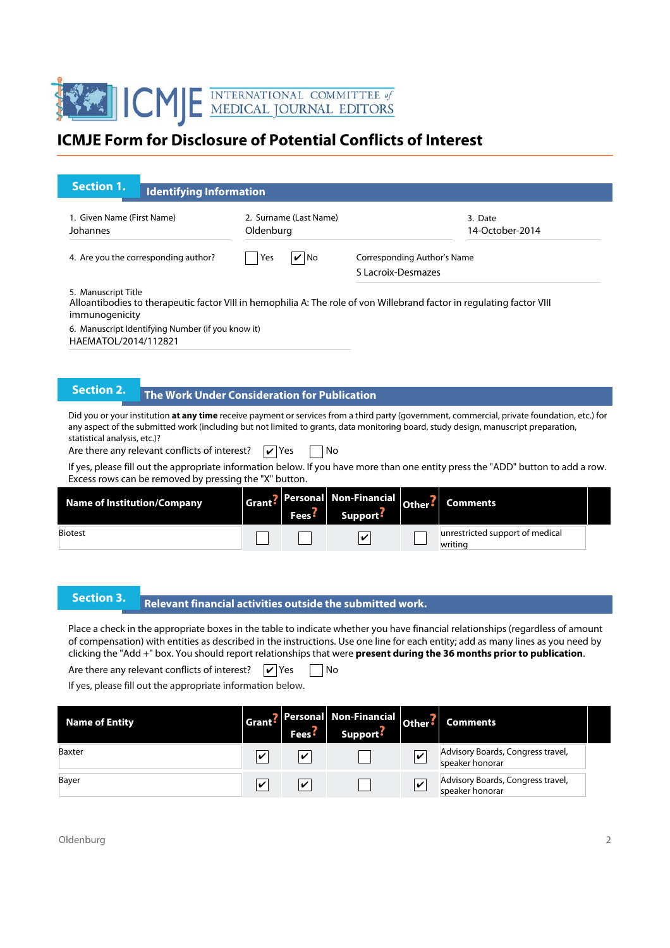

| <b>Section 1.</b>                      | <b>Identifying Information</b>                      |                                                                             |                        |                                                                                                                        |                                                                                                                                                      |
|----------------------------------------|-----------------------------------------------------|-----------------------------------------------------------------------------|------------------------|------------------------------------------------------------------------------------------------------------------------|------------------------------------------------------------------------------------------------------------------------------------------------------|
| 1. Given Name (First Name)<br>Johannes |                                                     | Oldenburg                                                                   | 2. Surname (Last Name) |                                                                                                                        | 3. Date<br>14-October-2014                                                                                                                           |
| 4. Are you the corresponding author?   |                                                     | $\mathbf{v}$ No<br>Corresponding Author's Name<br>Yes<br>S Lacroix-Desmazes |                        |                                                                                                                        |                                                                                                                                                      |
| 5. Manuscript Title<br>immunogenicity  |                                                     |                                                                             |                        | Alloantibodies to therapeutic factor VIII in hemophilia A: The role of von Willebrand factor in regulating factor VIII |                                                                                                                                                      |
| HAEMATOL/2014/112821                   | 6. Manuscript Identifying Number (if you know it)   |                                                                             |                        |                                                                                                                        |                                                                                                                                                      |
| <b>Section 2.</b>                      | <b>The Work Under Consideration for Publication</b> |                                                                             |                        |                                                                                                                        |                                                                                                                                                      |
|                                        |                                                     |                                                                             |                        |                                                                                                                        | Did you or your institution <b>at any time</b> receive payment or services from a third party (government, commercial, private foundation, etc.) for |

Did you or your institution **at any time** receive payment or services from a third party (government, commercial, private foundation, etc.) for any aspect of the submitted work (including but not limited to grants, data monitoring board, study design, manuscript preparation, statistical analysis, etc.)?

Are there any relevant conflicts of interest?  $\boxed{\mathbf{v}}$  Yes  $\boxed{\phantom{0}}$  No

If yes, please fill out the appropriate information below. If you have more than one entity press the "ADD" button to add a row. Excess rows can be removed by pressing the "X" button.

| Name of Institution/Company | Fees <sup>:</sup> | Grant? Personal Non-Financial Other?<br>Support: | <b>Comments</b>                            |  |
|-----------------------------|-------------------|--------------------------------------------------|--------------------------------------------|--|
| <b>Biotest</b>              |                   |                                                  | unrestricted support of medical<br>writing |  |

## **Relevant financial activities outside the submitted work. Section 3. Propendition 3. Propendity**

Place a check in the appropriate boxes in the table to indicate whether you have financial relationships (regardless of amount of compensation) with entities as described in the instructions. Use one line for each entity; add as many lines as you need by clicking the "Add +" box. You should report relationships that were **present during the 36 months prior to publication**.

Are there any relevant conflicts of interest?  $\boxed{\mathbf{v}}$  Yes  $\boxed{\phantom{0}}$  No

If yes, please fill out the appropriate information below.

| <b>Name of Entity</b> | <b>Fees</b> | Grant? Personal Non-Financial<br>Support: | $ $ Other $\theta$ | <b>Comments</b>                                      |  |
|-----------------------|-------------|-------------------------------------------|--------------------|------------------------------------------------------|--|
| Baxter                |             |                                           | ں                  | Advisory Boards, Congress travel,<br>speaker honorar |  |
| Bayer                 |             |                                           | V                  | Advisory Boards, Congress travel,<br>speaker honorar |  |

Oldenburg 2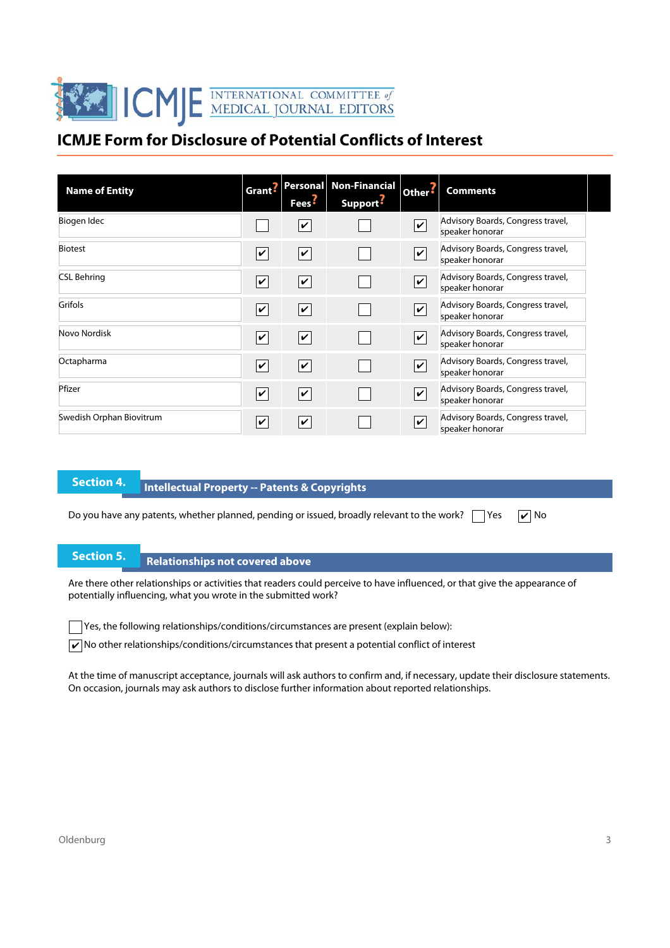

| <b>Name of Entity</b>    | Grant:                      | <b>Fees</b> : | Personal Non-Financial<br>Support <sup>:</sup> | Other:                      | <b>Comments</b>                                      |  |
|--------------------------|-----------------------------|---------------|------------------------------------------------|-----------------------------|------------------------------------------------------|--|
| Biogen Idec              |                             | $\mathbf v$   |                                                | $\checkmark$                | Advisory Boards, Congress travel,<br>speaker honorar |  |
| <b>Biotest</b>           | $\vert\bm{\mathsf{v}}\vert$ | V             |                                                | $\vert\bm{\mathsf{v}}\vert$ | Advisory Boards, Congress travel,<br>speaker honorar |  |
| <b>CSL Behring</b>       | $\boldsymbol{v}$            | V             |                                                | $\overline{\mathbf{v}}$     | Advisory Boards, Congress travel,<br>speaker honorar |  |
| Grifols                  | $ \boldsymbol{v} $          | $\checkmark$  |                                                | $\mathbf v$                 | Advisory Boards, Congress travel,<br>speaker honorar |  |
| Novo Nordisk             | $ \boldsymbol{v} $          | V             |                                                | $ \boldsymbol{v} $          | Advisory Boards, Congress travel,<br>speaker honorar |  |
| Octapharma               | $\mathbf v$                 | V             |                                                | $ \bm{\mathsf{v}} $         | Advisory Boards, Congress travel,<br>speaker honorar |  |
| Pfizer                   | $\vert\bm{\mathsf{v}}\vert$ | V             |                                                | $\overline{\mathbf{v}}$     | Advisory Boards, Congress travel,<br>speaker honorar |  |
| Swedish Orphan Biovitrum | V                           |               |                                                | $\mathbf v$                 | Advisory Boards, Congress travel,<br>speaker honorar |  |

## **Intellectual Property -- Patents & Copyrights Section 4.**

Do you have any patents, whether planned, pending or issued, broadly relevant to the work?  $\Box$  Yes  $\Box$  No

## **Section 5. Relationships not covered above**

Are there other relationships or activities that readers could perceive to have influenced, or that give the appearance of potentially influencing, what you wrote in the submitted work?

 $\Box$  Yes, the following relationships/conditions/circumstances are present (explain below):

 $\sqrt{\phantom{a}}$  No other relationships/conditions/circumstances that present a potential conflict of interest

At the time of manuscript acceptance, journals will ask authors to confirm and, if necessary, update their disclosure statements. On occasion, journals may ask authors to disclose further information about reported relationships.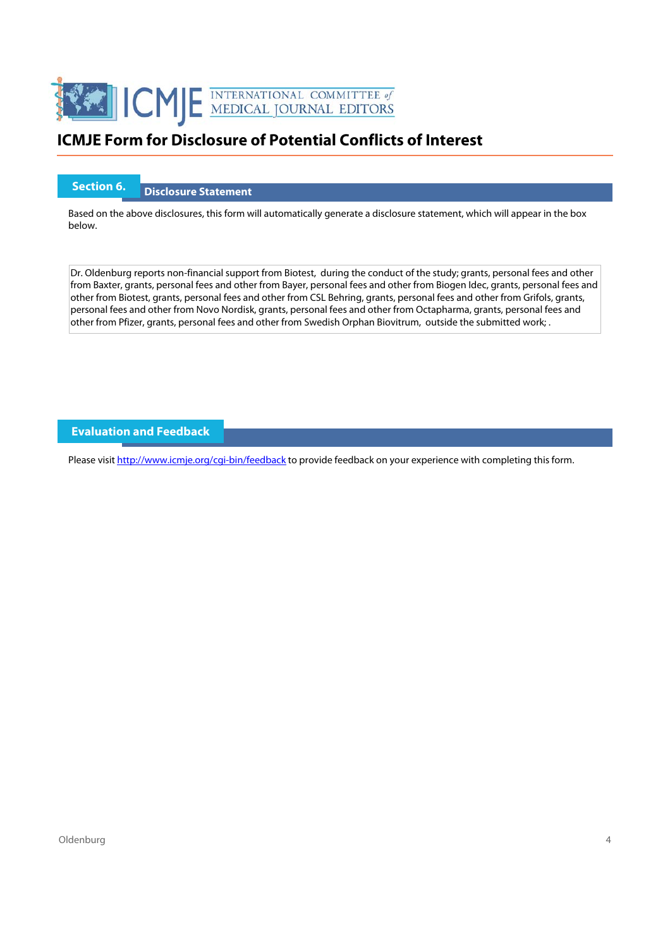

## **Disclosure Statement Section 6.**

Based on the above disclosures, this form will automatically generate a disclosure statement, which will appear in the box below.

Dr. Oldenburg reports non-financial support from Biotest, during the conduct of the study; grants, personal fees and other from Baxter, grants, personal fees and other from Bayer, personal fees and other from Biogen Idec, grants, personal fees and other from Biotest, grants, personal fees and other from CSL Behring, grants, personal fees and other from Grifols, grants, personal fees and other from Novo Nordisk, grants, personal fees and other from Octapharma, grants, personal fees and other from Pfizer, grants, personal fees and other from Swedish Orphan Biovitrum, outside the submitted work; .

**Evaluation and Feedback**

Please visit http://www.icmje.org/cgi-bin/feedback to provide feedback on your experience with completing this form.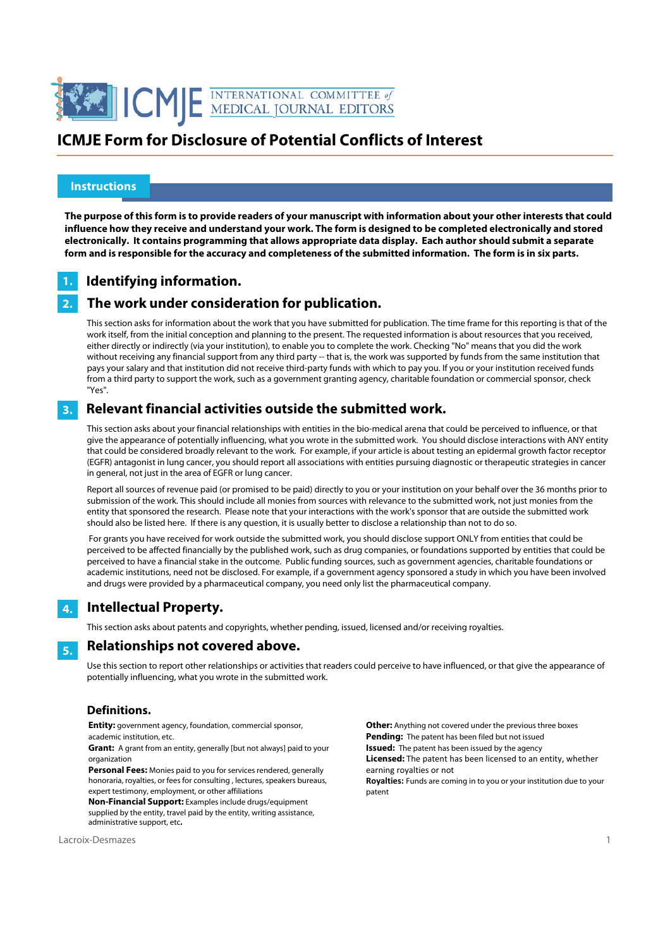

#### **Instructions**

**2.**

**4.**

**5.**

**The purpose of this form is to provide readers of your manuscript with information about your other interests that could influence how they receive and understand your work. The form is designed to be completed electronically and stored electronically. It contains programming that allows appropriate data display. Each author should submit a separate form and is responsible for the accuracy and completeness of the submitted information. The form is in six parts.** 

#### **Identifying information. 1.**

### **The work under consideration for publication.**

This section asks for information about the work that you have submitted for publication. The time frame for this reporting is that of the work itself, from the initial conception and planning to the present. The requested information is about resources that you received, either directly or indirectly (via your institution), to enable you to complete the work. Checking "No" means that you did the work without receiving any financial support from any third party -- that is, the work was supported by funds from the same institution that pays your salary and that institution did not receive third-party funds with which to pay you. If you or your institution received funds from a third party to support the work, such as a government granting agency, charitable foundation or commercial sponsor, check "Yes".

#### **Relevant financial activities outside the submitted work. 3.**

This section asks about your financial relationships with entities in the bio-medical arena that could be perceived to influence, or that give the appearance of potentially influencing, what you wrote in the submitted work. You should disclose interactions with ANY entity that could be considered broadly relevant to the work. For example, if your article is about testing an epidermal growth factor receptor (EGFR) antagonist in lung cancer, you should report all associations with entities pursuing diagnostic or therapeutic strategies in cancer in general, not just in the area of EGFR or lung cancer.

Report all sources of revenue paid (or promised to be paid) directly to you or your institution on your behalf over the 36 months prior to submission of the work. This should include all monies from sources with relevance to the submitted work, not just monies from the entity that sponsored the research. Please note that your interactions with the work's sponsor that are outside the submitted work should also be listed here. If there is any question, it is usually better to disclose a relationship than not to do so.

 For grants you have received for work outside the submitted work, you should disclose support ONLY from entities that could be perceived to be affected financially by the published work, such as drug companies, or foundations supported by entities that could be perceived to have a financial stake in the outcome. Public funding sources, such as government agencies, charitable foundations or academic institutions, need not be disclosed. For example, if a government agency sponsored a study in which you have been involved and drugs were provided by a pharmaceutical company, you need only list the pharmaceutical company.

### **Intellectual Property.**

This section asks about patents and copyrights, whether pending, issued, licensed and/or receiving royalties.

#### **Relationships not covered above.**

Use this section to report other relationships or activities that readers could perceive to have influenced, or that give the appearance of potentially influencing, what you wrote in the submitted work.

#### **Definitions.**

**Entity:** government agency, foundation, commercial sponsor, academic institution, etc.

**Grant:** A grant from an entity, generally [but not always] paid to your organization

**Personal Fees:** Monies paid to you for services rendered, generally honoraria, royalties, or fees for consulting , lectures, speakers bureaus, expert testimony, employment, or other affiliations

**Non-Financial Support:** Examples include drugs/equipment supplied by the entity, travel paid by the entity, writing assistance, administrative support, etc**.**

**Other:** Anything not covered under the previous three boxes **Pending:** The patent has been filed but not issued **Issued:** The patent has been issued by the agency **Licensed:** The patent has been licensed to an entity, whether earning royalties or not **Royalties:** Funds are coming in to you or your institution due to your patent

Lacroix-Desmazes 1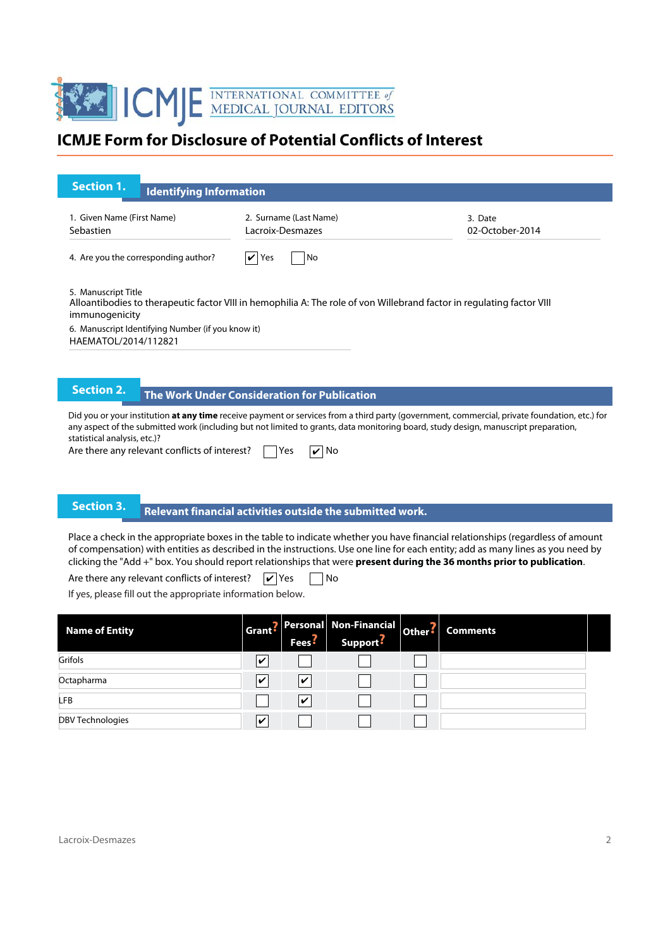

| <b>Section 1.</b><br><b>Identifying Information</b>                                                                                                                                                                                                                                                                                                                                                                                                                                                                                                   |                                                                                                                                                                             |                            |  |  |  |  |  |  |  |
|-------------------------------------------------------------------------------------------------------------------------------------------------------------------------------------------------------------------------------------------------------------------------------------------------------------------------------------------------------------------------------------------------------------------------------------------------------------------------------------------------------------------------------------------------------|-----------------------------------------------------------------------------------------------------------------------------------------------------------------------------|----------------------------|--|--|--|--|--|--|--|
| 1. Given Name (First Name)<br>Sebastien                                                                                                                                                                                                                                                                                                                                                                                                                                                                                                               | 2. Surname (Last Name)<br>Lacroix-Desmazes                                                                                                                                  | 3. Date<br>02-October-2014 |  |  |  |  |  |  |  |
| 4. Are you the corresponding author?                                                                                                                                                                                                                                                                                                                                                                                                                                                                                                                  | V<br>Yes<br>No                                                                                                                                                              |                            |  |  |  |  |  |  |  |
| 5. Manuscript Title<br>immunogenicity<br>HAEMATOL/2014/112821                                                                                                                                                                                                                                                                                                                                                                                                                                                                                         | Alloantibodies to therapeutic factor VIII in hemophilia A: The role of von Willebrand factor in regulating factor VIII<br>6. Manuscript Identifying Number (if you know it) |                            |  |  |  |  |  |  |  |
| <b>Section 2.</b>                                                                                                                                                                                                                                                                                                                                                                                                                                                                                                                                     | The Work Under Consideration for Publication                                                                                                                                |                            |  |  |  |  |  |  |  |
| Did you or your institution at any time receive payment or services from a third party (government, commercial, private foundation, etc.) for<br>any aspect of the submitted work (including but not limited to grants, data monitoring board, study design, manuscript preparation,<br>statistical analysis, etc.)?<br>Are there any relevant conflicts of interest?<br>  No<br>Yes<br>✓                                                                                                                                                             |                                                                                                                                                                             |                            |  |  |  |  |  |  |  |
| <b>Section 3.</b>                                                                                                                                                                                                                                                                                                                                                                                                                                                                                                                                     | Relevant financial activities outside the submitted work.                                                                                                                   |                            |  |  |  |  |  |  |  |
| Place a check in the appropriate boxes in the table to indicate whether you have financial relationships (regardless of amount<br>of compensation) with entities as described in the instructions. Use one line for each entity; add as many lines as you need by<br>clicking the "Add +" box. You should report relationships that were present during the 36 months prior to publication.<br>Are there any relevant conflicts of interest?<br>No<br>Yes<br>$\boldsymbol{\mathcal{U}}$<br>If yes, please fill out the appropriate information below. |                                                                                                                                                                             |                            |  |  |  |  |  |  |  |

| <b>Name of Entity</b>   | Fees <sup>:</sup> | Grant? Personal Non-Financial Other?<br>Support <sup>:</sup> | <b>Comments</b> |  |
|-------------------------|-------------------|--------------------------------------------------------------|-----------------|--|
| Grifols                 |                   |                                                              |                 |  |
| Octapharma              | ✔                 |                                                              |                 |  |
| <b>LFB</b>              | ے ،               |                                                              |                 |  |
| <b>DBV Technologies</b> |                   |                                                              |                 |  |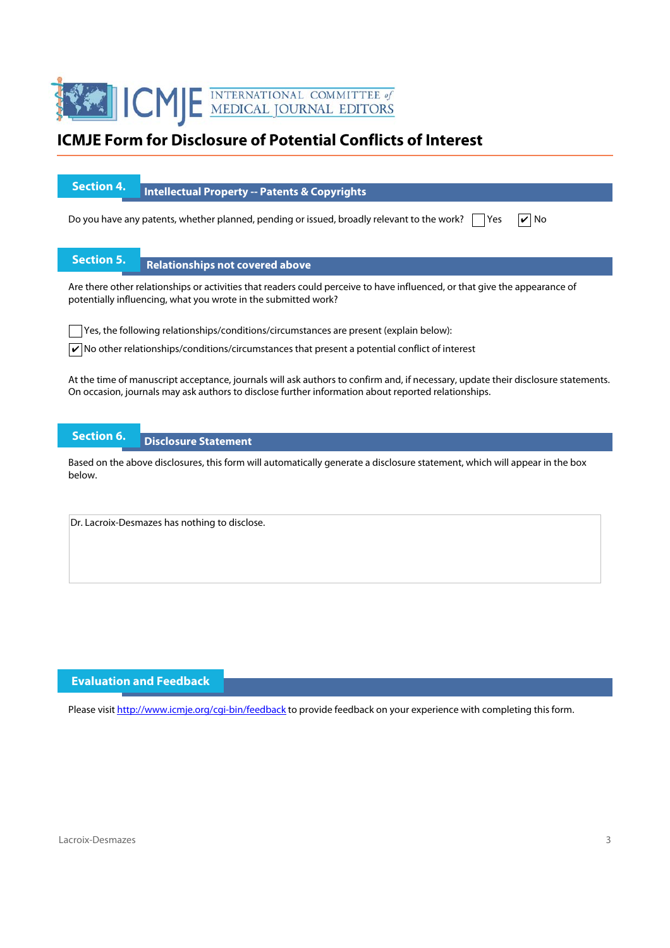

| <b>Section 4.</b>                                                                                                                                                                                                                        |                                                                                                                                                                                              |  |  |  |  |  |
|------------------------------------------------------------------------------------------------------------------------------------------------------------------------------------------------------------------------------------------|----------------------------------------------------------------------------------------------------------------------------------------------------------------------------------------------|--|--|--|--|--|
|                                                                                                                                                                                                                                          | <b>Intellectual Property -- Patents &amp; Copyrights</b>                                                                                                                                     |  |  |  |  |  |
|                                                                                                                                                                                                                                          | Do you have any patents, whether planned, pending or issued, broadly relevant to the work?<br>Yes<br>No<br>V                                                                                 |  |  |  |  |  |
| <b>Section 5.</b>                                                                                                                                                                                                                        | <b>Relationships not covered above</b>                                                                                                                                                       |  |  |  |  |  |
|                                                                                                                                                                                                                                          | Are there other relationships or activities that readers could perceive to have influenced, or that give the appearance of<br>potentially influencing, what you wrote in the submitted work? |  |  |  |  |  |
|                                                                                                                                                                                                                                          | Yes, the following relationships/conditions/circumstances are present (explain below):                                                                                                       |  |  |  |  |  |
| $\vert \mathbf{v} \vert$ No other relationships/conditions/circumstances that present a potential conflict of interest                                                                                                                   |                                                                                                                                                                                              |  |  |  |  |  |
| At the time of manuscript acceptance, journals will ask authors to confirm and, if necessary, update their disclosure statements.<br>On occasion, journals may ask authors to disclose further information about reported relationships. |                                                                                                                                                                                              |  |  |  |  |  |
| <b>Section 6.</b>                                                                                                                                                                                                                        | <b>Disclosure Statement</b>                                                                                                                                                                  |  |  |  |  |  |
| below.                                                                                                                                                                                                                                   | Based on the above disclosures, this form will automatically generate a disclosure statement, which will appear in the box                                                                   |  |  |  |  |  |

Dr. Lacroix-Desmazes has nothing to disclose.

#### **Evaluation and Feedback**

Please visit http://www.icmje.org/cgi-bin/feedback to provide feedback on your experience with completing this form.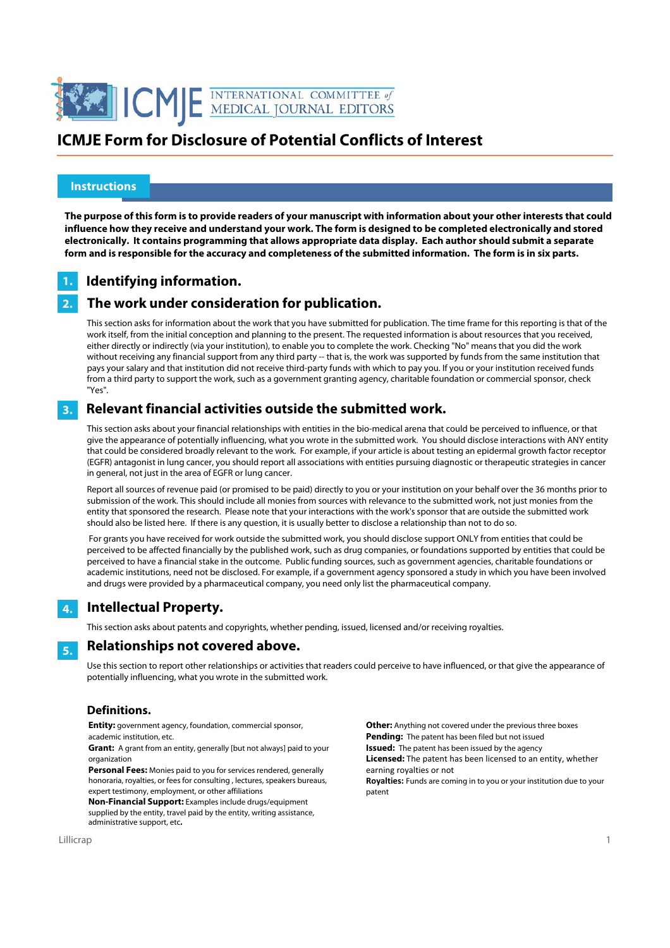

#### **Instructions**

**2.**

**The purpose of this form is to provide readers of your manuscript with information about your other interests that could influence how they receive and understand your work. The form is designed to be completed electronically and stored electronically. It contains programming that allows appropriate data display. Each author should submit a separate form and is responsible for the accuracy and completeness of the submitted information. The form is in six parts.** 

#### **Identifying information. 1.**

### **The work under consideration for publication.**

This section asks for information about the work that you have submitted for publication. The time frame for this reporting is that of the work itself, from the initial conception and planning to the present. The requested information is about resources that you received, either directly or indirectly (via your institution), to enable you to complete the work. Checking "No" means that you did the work without receiving any financial support from any third party -- that is, the work was supported by funds from the same institution that pays your salary and that institution did not receive third-party funds with which to pay you. If you or your institution received funds from a third party to support the work, such as a government granting agency, charitable foundation or commercial sponsor, check "Yes".

#### **Relevant financial activities outside the submitted work. 3.**

This section asks about your financial relationships with entities in the bio-medical arena that could be perceived to influence, or that give the appearance of potentially influencing, what you wrote in the submitted work. You should disclose interactions with ANY entity that could be considered broadly relevant to the work. For example, if your article is about testing an epidermal growth factor receptor (EGFR) antagonist in lung cancer, you should report all associations with entities pursuing diagnostic or therapeutic strategies in cancer in general, not just in the area of EGFR or lung cancer.

Report all sources of revenue paid (or promised to be paid) directly to you or your institution on your behalf over the 36 months prior to submission of the work. This should include all monies from sources with relevance to the submitted work, not just monies from the entity that sponsored the research. Please note that your interactions with the work's sponsor that are outside the submitted work should also be listed here. If there is any question, it is usually better to disclose a relationship than not to do so.

 For grants you have received for work outside the submitted work, you should disclose support ONLY from entities that could be perceived to be affected financially by the published work, such as drug companies, or foundations supported by entities that could be perceived to have a financial stake in the outcome. Public funding sources, such as government agencies, charitable foundations or academic institutions, need not be disclosed. For example, if a government agency sponsored a study in which you have been involved and drugs were provided by a pharmaceutical company, you need only list the pharmaceutical company.

### **Intellectual Property.**

This section asks about patents and copyrights, whether pending, issued, licensed and/or receiving royalties.

#### **Relationships not covered above.**

Use this section to report other relationships or activities that readers could perceive to have influenced, or that give the appearance of potentially influencing, what you wrote in the submitted work.

### **Definitions.**

**Entity:** government agency, foundation, commercial sponsor, academic institution, etc.

**Grant:** A grant from an entity, generally [but not always] paid to your organization

**Personal Fees:** Monies paid to you for services rendered, generally honoraria, royalties, or fees for consulting , lectures, speakers bureaus, expert testimony, employment, or other affiliations

**Non-Financial Support:** Examples include drugs/equipment supplied by the entity, travel paid by the entity, writing assistance, administrative support, etc**.**

**Other:** Anything not covered under the previous three boxes **Pending:** The patent has been filed but not issued **Issued:** The patent has been issued by the agency **Licensed:** The patent has been licensed to an entity, whether earning royalties or not **Royalties:** Funds are coming in to you or your institution due to your patent

Lillicrap 1

**4.**

**5.**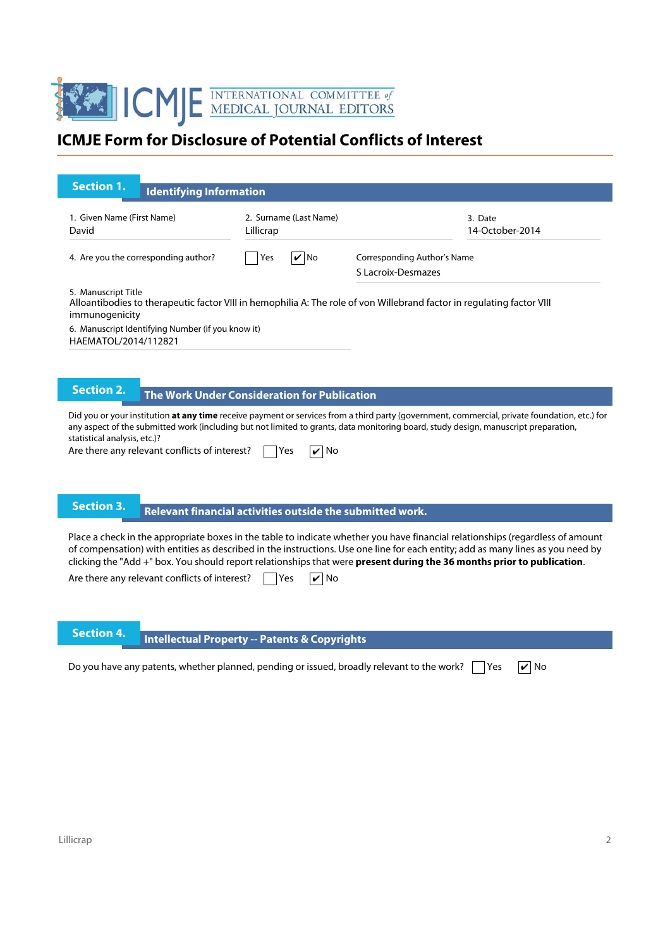

| <b>Section 1.</b>                                                                                                                                                                                                                                                                                                                                                                                 |                                                   |                                                           |                                                                                                                        |                                                                                                                                                                                                                                                                                                                                                                                             |  |
|---------------------------------------------------------------------------------------------------------------------------------------------------------------------------------------------------------------------------------------------------------------------------------------------------------------------------------------------------------------------------------------------------|---------------------------------------------------|-----------------------------------------------------------|------------------------------------------------------------------------------------------------------------------------|---------------------------------------------------------------------------------------------------------------------------------------------------------------------------------------------------------------------------------------------------------------------------------------------------------------------------------------------------------------------------------------------|--|
|                                                                                                                                                                                                                                                                                                                                                                                                   | <b>Identifying Information</b>                    |                                                           |                                                                                                                        |                                                                                                                                                                                                                                                                                                                                                                                             |  |
| 1. Given Name (First Name)<br>David                                                                                                                                                                                                                                                                                                                                                               |                                                   | 2. Surname (Last Name)<br>Lillicrap                       | 3. Date<br>14-October-2014                                                                                             |                                                                                                                                                                                                                                                                                                                                                                                             |  |
| 4. Are you the corresponding author?                                                                                                                                                                                                                                                                                                                                                              |                                                   | $\mathbf{v}$ No<br>Yes                                    | Corresponding Author's Name<br>S Lacroix-Desmazes                                                                      |                                                                                                                                                                                                                                                                                                                                                                                             |  |
| 5. Manuscript Title<br>immunogenicity                                                                                                                                                                                                                                                                                                                                                             |                                                   |                                                           | Alloantibodies to therapeutic factor VIII in hemophilia A: The role of von Willebrand factor in regulating factor VIII |                                                                                                                                                                                                                                                                                                                                                                                             |  |
| HAEMATOL/2014/112821                                                                                                                                                                                                                                                                                                                                                                              | 6. Manuscript Identifying Number (if you know it) |                                                           |                                                                                                                        |                                                                                                                                                                                                                                                                                                                                                                                             |  |
|                                                                                                                                                                                                                                                                                                                                                                                                   |                                                   |                                                           |                                                                                                                        |                                                                                                                                                                                                                                                                                                                                                                                             |  |
| <b>Section 2.</b>                                                                                                                                                                                                                                                                                                                                                                                 |                                                   | The Work Under Consideration for Publication              |                                                                                                                        |                                                                                                                                                                                                                                                                                                                                                                                             |  |
| Did you or your institution at any time receive payment or services from a third party (government, commercial, private foundation, etc.) for<br>any aspect of the submitted work (including but not limited to grants, data monitoring board, study design, manuscript preparation,<br>statistical analysis, etc.)?<br>Are there any relevant conflicts of interest?<br>No<br>Yes<br>$\mathbf v$ |                                                   |                                                           |                                                                                                                        |                                                                                                                                                                                                                                                                                                                                                                                             |  |
|                                                                                                                                                                                                                                                                                                                                                                                                   |                                                   |                                                           |                                                                                                                        |                                                                                                                                                                                                                                                                                                                                                                                             |  |
| <b>Section 3.</b>                                                                                                                                                                                                                                                                                                                                                                                 |                                                   | Relevant financial activities outside the submitted work. |                                                                                                                        |                                                                                                                                                                                                                                                                                                                                                                                             |  |
|                                                                                                                                                                                                                                                                                                                                                                                                   | Are there any relevant conflicts of interest?     | $\mathbf v$<br>No<br>Yes                                  |                                                                                                                        | Place a check in the appropriate boxes in the table to indicate whether you have financial relationships (regardless of amount<br>of compensation) with entities as described in the instructions. Use one line for each entity; add as many lines as you need by<br>clicking the "Add +" box. You should report relationships that were present during the 36 months prior to publication. |  |
| <b>Section 4.</b>                                                                                                                                                                                                                                                                                                                                                                                 |                                                   | <b>Intellectual Property -- Patents &amp; Copyrights</b>  |                                                                                                                        |                                                                                                                                                                                                                                                                                                                                                                                             |  |
|                                                                                                                                                                                                                                                                                                                                                                                                   |                                                   |                                                           | Do you have any patents, whether planned, pending or issued, broadly relevant to the work?                             | $\mathbf{v}$ No<br>Yes                                                                                                                                                                                                                                                                                                                                                                      |  |